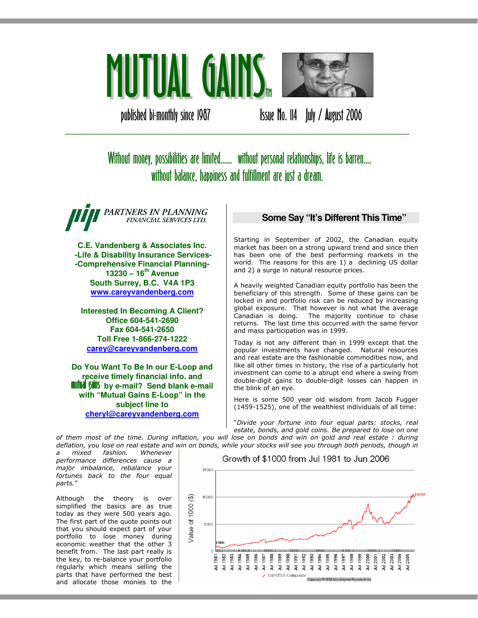

published bi-monthly since 1987 **ISSUE No. 114 July / August 2006** 

# Without money, possibilities are limited...... without personal relationships, life is barren.... without balance, happiness and fulfillment are just a dream.

\_\_\_\_\_\_\_\_\_\_\_\_\_\_\_\_\_\_\_\_\_\_\_\_\_\_\_\_\_\_\_\_\_\_\_\_\_\_\_\_\_\_\_\_\_\_\_\_\_\_\_\_\_\_\_\_\_\_\_\_\_\_\_

PARTNERS IN PLANNING FINANCIAL SERVICES LTD.

**C.E. Vandenberg & Associates Inc. -Life & Disability Insurance Services- -Comprehensive Financial Planning-13230 – 16th Avenue South Surrey, B.C. V4A 1P3 www.careyvandenberg.com**

**Interested In Becoming A Client? Office 604-541-2690 Fax 604-541-2650 Toll Free 1-866-274-1222 carey@careyvandenberg.com**

**Do You Want To Be In our E-Loop and receive timely financial info. and<br><b>mutual gains** by e-mail? Send blank e-mail **with "Mutual Gains E-Loop" in the subject line to cheryl@careyvandenberg.com**

# **Some Say "It's Different This Time"**

Starting in September of 2002, the Canadian equity market has been on a strong upward trend and since then has been one of the best performing markets in the world. The reasons for this are 1) a declining US dollar and 2) a surge in natural resource prices.

A heavily weighted Canadian equity portfolio has been the beneficiary of this strength. Some of these gains can be locked in and portfolio risk can be reduced by increasing global exposure. That however is not what the average Canadian is doing. The majority continue to chase returns. The last time this occurred with the same fervor and mass participation was in 1999.

Today is not any different than in 1999 except that the popular investments have changed. Natural resources and real estate are the fashionable commodities now, and like all other times in history, the rise of a particularly hot investment can come to a abrupt end where a swing from double-digit gains to double-digit losses can happen in the blink of an eye.

Here is some 500 year old wisdom from Jacob Fugger (1459-1525), one of the wealthiest individuals of all time:

"Divide your fortune into four equal parts: stocks, real estate, bonds, and gold coins. Be prepared to lose on one of them most of the time. During inflation, you will lose on bonds and win on gold and real estate : during

deflation, you lose on real estate and win on bonds, while your stocks will see you through both periods, though in mixed fashion. Whenever performance differences cause a major imbalance, rebalance your fortunes back to the four equal parts."

Although the theory is over simplified the basics are as true today as they were 500 years ago. The first part of the quote points out that you should expect part of your portfolio to lose money during economic weather that the other 3 benefit from. The last part really is the key, to re-balance your portfolio regularly which means selling the parts that have performed the best and allocate those monies to the

Growth of \$1000 from Jul 1981 to Jun 2006

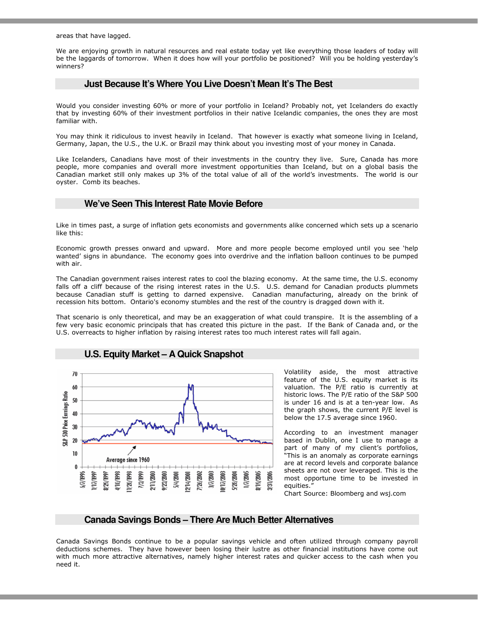areas that have lagged.

We are enjoying growth in natural resources and real estate today yet like everything those leaders of today will be the laggards of tomorrow. When it does how will your portfolio be positioned? Will you be holding yesterday's winners?

## **Just Because It's Where You Live Doesn't Mean It's The Best**

Would you consider investing 60% or more of your portfolio in Iceland? Probably not, yet Icelanders do exactly that by investing 60% of their investment portfolios in their native Icelandic companies, the ones they are most familiar with.

You may think it ridiculous to invest heavily in Iceland. That however is exactly what someone living in Iceland, Germany, Japan, the U.S., the U.K. or Brazil may think about you investing most of your money in Canada.

Like Icelanders, Canadians have most of their investments in the country they live. Sure, Canada has more people, more companies and overall more investment opportunities than Iceland, but on a global basis the Canadian market still only makes up 3% of the total value of all of the world's investments. The world is our oyster. Comb its beaches.

## **We've Seen This Interest Rate Movie Before**

Like in times past, a surge of inflation gets economists and governments alike concerned which sets up a scenario like this:

Economic growth presses onward and upward. More and more people become employed until you see 'help wanted' signs in abundance. The economy goes into overdrive and the inflation balloon continues to be pumped with air.

The Canadian government raises interest rates to cool the blazing economy. At the same time, the U.S. economy falls off a cliff because of the rising interest rates in the U.S. U.S. demand for Canadian products plummets because Canadian stuff is getting to darned expensive. Canadian manufacturing, already on the brink of recession hits bottom. Ontario's economy stumbles and the rest of the country is dragged down with it.

That scenario is only theoretical, and may be an exaggeration of what could transpire. It is the assembling of a few very basic economic principals that has created this picture in the past. If the Bank of Canada and, or the U.S. overreacts to higher inflation by raising interest rates too much interest rates will fall again.



**U.S. Equity Market – A Quick Snapshot** 

Volatility aside, the most attractive feature of the U.S. equity market is its valuation. The P/E ratio is currently at historic lows. The P/E ratio of the S&P 500 is under 16 and is at a ten-year low. As the graph shows, the current P/E level is below the 17.5 average since 1960.

According to an investment manager based in Dublin, one I use to manage a part of many of my client's portfolios, "This is an anomaly as corporate earnings are at record levels and corporate balance sheets are not over leveraged. This is the most opportune time to be invested in equities."

Chart Source: Bloomberg and wsj.com

#### **Canada Savings Bonds – There Are Much Better Alternatives**

Canada Savings Bonds continue to be a popular savings vehicle and often utilized through company payroll deductions schemes. They have however been losing their lustre as other financial institutions have come out with much more attractive alternatives, namely higher interest rates and quicker access to the cash when you need it.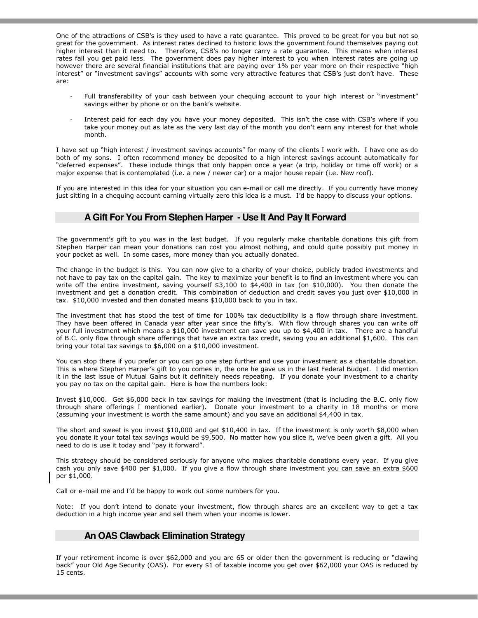One of the attractions of CSB's is they used to have a rate guarantee. This proved to be great for you but not so great for the government. As interest rates declined to historic lows the government found themselves paying out higher interest than it need to. Therefore, CSB's no longer carry a rate guarantee. This means when interest rates fall you get paid less. The government does pay higher interest to you when interest rates are going up however there are several financial institutions that are paying over 1% per year more on their respective "high interest" or "investment savings" accounts with some very attractive features that CSB's just don't have. These are:

- Full transferability of your cash between your chequing account to your high interest or "investment" savings either by phone or on the bank's website.
- Interest paid for each day you have your money deposited. This isn't the case with CSB's where if you take your money out as late as the very last day of the month you don't earn any interest for that whole month.

I have set up "high interest / investment savings accounts" for many of the clients I work with. I have one as do both of my sons. I often recommend money be deposited to a high interest savings account automatically for "deferred expenses". These include things that only happen once a year (a trip, holiday or time off work) or a major expense that is contemplated (i.e. a new / newer car) or a major house repair (i.e. New roof).

If you are interested in this idea for your situation you can e-mail or call me directly. If you currently have money just sitting in a chequing account earning virtually zero this idea is a must. I'd be happy to discuss your options.

# **A Gift For You From Stephen Harper - Use It And Pay It Forward**

The government's gift to you was in the last budget. If you regularly make charitable donations this gift from Stephen Harper can mean your donations can cost you almost nothing, and could quite possibly put money in your pocket as well. In some cases, more money than you actually donated.

The change in the budget is this. You can now give to a charity of your choice, publicly traded investments and not have to pay tax on the capital gain. The key to maximize your benefit is to find an investment where you can write off the entire investment, saving yourself \$3,100 to \$4,400 in tax (on \$10,000). You then donate the investment and get a donation credit. This combination of deduction and credit saves you just over \$10,000 in tax. \$10,000 invested and then donated means \$10,000 back to you in tax.

The investment that has stood the test of time for 100% tax deductibility is a flow through share investment. They have been offered in Canada year after year since the fifty's. With flow through shares you can write off your full investment which means a \$10,000 investment can save you up to \$4,400 in tax. There are a handful of B.C. only flow through share offerings that have an extra tax credit, saving you an additional \$1,600. This can bring your total tax savings to \$6,000 on a \$10,000 investment.

You can stop there if you prefer or you can go one step further and use your investment as a charitable donation. This is where Stephen Harper's gift to you comes in, the one he gave us in the last Federal Budget. I did mention it in the last issue of Mutual Gains but it definitely needs repeating. If you donate your investment to a charity you pay no tax on the capital gain. Here is how the numbers look:

Invest \$10,000. Get \$6,000 back in tax savings for making the investment (that is including the B.C. only flow through share offerings I mentioned earlier). Donate your investment to a charity in 18 months or more (assuming your investment is worth the same amount) and you save an additional \$4,400 in tax.

The short and sweet is you invest \$10,000 and get \$10,400 in tax. If the investment is only worth \$8,000 when you donate it your total tax savings would be \$9,500. No matter how you slice it, we've been given a gift. All you need to do is use it today and "pay it forward".

This strategy should be considered seriously for anyone who makes charitable donations every year. If you give cash you only save \$400 per \$1,000. If you give a flow through share investment you can save an extra \$600 per \$1,000.

Call or e-mail me and I'd be happy to work out some numbers for you.

Note: If you don't intend to donate your investment, flow through shares are an excellent way to get a tax deduction in a high income year and sell them when your income is lower.

## **An OAS Clawback Elimination Strategy**

If your retirement income is over \$62,000 and you are 65 or older then the government is reducing or "clawing back" your Old Age Security (OAS). For every \$1 of taxable income you get over \$62,000 your OAS is reduced by 15 cents.